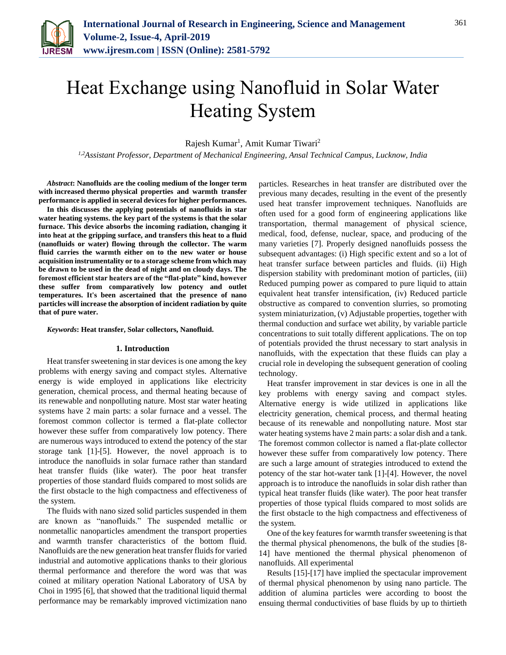

# Heat Exchange using Nanofluid in Solar Water Heating System

Rajesh Kumar<sup>1</sup>, Amit Kumar Tiwari<sup>2</sup>

*1,2Assistant Professor, Department of Mechanical Engineering, Ansal Technical Campus, Lucknow, India*

*Abstract***: Nanofluids are the cooling medium of the longer term with increased thermo physical properties and warmth transfer performance is applied in seceral devices for higher performances.**

**In this discusses the applying potentials of nanofluids in star water heating systems. the key part of the systems is that the solar furnace. This device absorbs the incoming radiation, changing it into heat at the gripping surface, and transfers this heat to a fluid (nanofluids or water) flowing through the collector. The warm fluid carries the warmth either on to the new water or house acquisition instrumentality or to a storage scheme from which may be drawn to be used in the dead of night and on cloudy days. The foremost efficient star heaters are of the "flat-plate" kind, however these suffer from comparatively low potency and outlet temperatures. It's been ascertained that the presence of nano particles will increase the absorption of incident radiation by quite that of pure water.**

*Keywords***: Heat transfer, Solar collectors, Nanofluid.**

#### **1. Introduction**

Heat transfer sweetening in star devices is one among the key problems with energy saving and compact styles. Alternative energy is wide employed in applications like electricity generation, chemical process, and thermal heating because of its renewable and nonpolluting nature. Most star water heating systems have 2 main parts: a solar furnace and a vessel. The foremost common collector is termed a flat-plate collector however these suffer from comparatively low potency. There are numerous ways introduced to extend the potency of the star storage tank [1]-[5]. However, the novel approach is to introduce the nanofluids in solar furnace rather than standard heat transfer fluids (like water). The poor heat transfer properties of those standard fluids compared to most solids are the first obstacle to the high compactness and effectiveness of the system.

The fluids with nano sized solid particles suspended in them are known as "nanofluids." The suspended metallic or nonmetallic nanoparticles amendment the transport properties and warmth transfer characteristics of the bottom fluid. Nanofluids are the new generation heat transfer fluids for varied industrial and automotive applications thanks to their glorious thermal performance and therefore the word was that was coined at military operation National Laboratory of USA by Choi in 1995 [6], that showed that the traditional liquid thermal performance may be remarkably improved victimization nano particles. Researches in heat transfer are distributed over the previous many decades, resulting in the event of the presently used heat transfer improvement techniques. Nanofluids are often used for a good form of engineering applications like transportation, thermal management of physical science, medical, food, defense, nuclear, space, and producing of the many varieties [7]. Properly designed nanofluids possess the subsequent advantages: (i) High specific extent and so a lot of heat transfer surface between particles and fluids. (ii) High dispersion stability with predominant motion of particles, (iii) Reduced pumping power as compared to pure liquid to attain equivalent heat transfer intensification, (iv) Reduced particle obstructive as compared to convention slurries, so promoting system miniaturization, (v) Adjustable properties, together with thermal conduction and surface wet ability, by variable particle concentrations to suit totally different applications. The on top of potentials provided the thrust necessary to start analysis in nanofluids, with the expectation that these fluids can play a crucial role in developing the subsequent generation of cooling technology.

Heat transfer improvement in star devices is one in all the key problems with energy saving and compact styles. Alternative energy is wide utilized in applications like electricity generation, chemical process, and thermal heating because of its renewable and nonpolluting nature. Most star water heating systems have 2 main parts: a solar dish and a tank. The foremost common collector is named a flat-plate collector however these suffer from comparatively low potency. There are such a large amount of strategies introduced to extend the potency of the star hot-water tank [1]-[4]. However, the novel approach is to introduce the nanofluids in solar dish rather than typical heat transfer fluids (like water). The poor heat transfer properties of those typical fluids compared to most solids are the first obstacle to the high compactness and effectiveness of the system.

One of the key features for warmth transfer sweetening is that the thermal physical phenomenons, the bulk of the studies [8- 14] have mentioned the thermal physical phenomenon of nanofluids. All experimental

Results [15]-[17] have implied the spectacular improvement of thermal physical phenomenon by using nano particle. The addition of alumina particles were according to boost the ensuing thermal conductivities of base fluids by up to thirtieth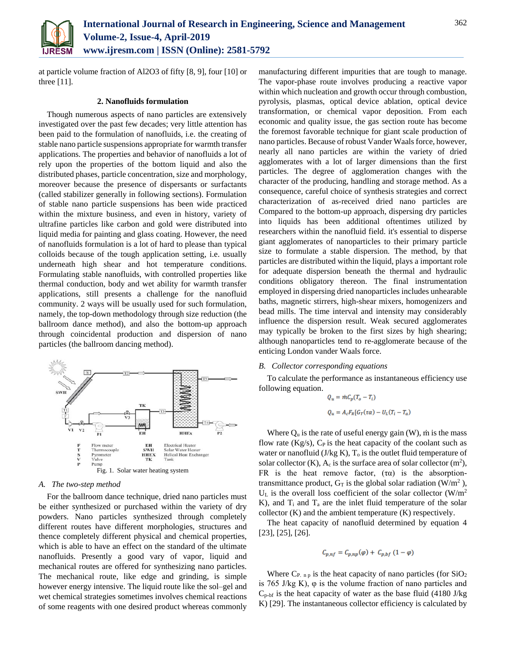

at particle volume fraction of Al2O3 of fifty [8, 9], four [10] or three [11].

## **2. Nanofluids formulation**

Though numerous aspects of nano particles are extensively investigated over the past few decades; very little attention has been paid to the formulation of nanofluids, i.e. the creating of stable nano particle suspensions appropriate for warmth transfer applications. The properties and behavior of nanofluids a lot of rely upon the properties of the bottom liquid and also the distributed phases, particle concentration, size and morphology, moreover because the presence of dispersants or surfactants (called stabilizer generally in following sections). Formulation of stable nano particle suspensions has been wide practiced within the mixture business, and even in history, variety of ultrafine particles like carbon and gold were distributed into liquid media for painting and glass coating. However, the need of nanofluids formulation is a lot of hard to please than typical colloids because of the tough application setting, i.e. usually underneath high shear and hot temperature conditions. Formulating stable nanofluids, with controlled properties like thermal conduction, body and wet ability for warmth transfer applications, still presents a challenge for the nanofluid community. 2 ways will be usually used for such formulation, namely, the top-down methodology through size reduction (the ballroom dance method), and also the bottom-up approach through coincidental production and dispersion of nano particles (the ballroom dancing method).



## *A. The two-step method*

For the ballroom dance technique, dried nano particles must be either synthesized or purchased within the variety of dry powders. Nano particles synthesized through completely different routes have different morphologies, structures and thence completely different physical and chemical properties, which is able to have an effect on the standard of the ultimate nanofluids. Presently a good vary of vapor, liquid and mechanical routes are offered for synthesizing nano particles. The mechanical route, like edge and grinding, is simple however energy intensive. The liquid route like the sol–gel and wet chemical strategies sometimes involves chemical reactions of some reagents with one desired product whereas commonly

manufacturing different impurities that are tough to manage. The vapor-phase route involves producing a reactive vapor within which nucleation and growth occur through combustion, pyrolysis, plasmas, optical device ablation, optical device transformation, or chemical vapor deposition. From each economic and quality issue, the gas section route has become the foremost favorable technique for giant scale production of nano particles. Because of robust Vander Waals force, however, nearly all nano particles are within the variety of dried agglomerates with a lot of larger dimensions than the first particles. The degree of agglomeration changes with the character of the producing, handling and storage method. As a consequence, careful choice of synthesis strategies and correct characterization of as-received dried nano particles are Compared to the bottom-up approach, dispersing dry particles into liquids has been additional oftentimes utilized by researchers within the nanofluid field. it's essential to disperse giant agglomerates of nanoparticles to their primary particle size to formulate a stable dispersion. The method, by that particles are distributed within the liquid, plays a important role for adequate dispersion beneath the thermal and hydraulic conditions obligatory thereon. The final instrumentation employed in dispersing dried nanoparticles includes unhearable baths, magnetic stirrers, high-shear mixers, homogenizers and bead mills. The time interval and intensity may considerably influence the dispersion result. Weak secured agglomerates may typically be broken to the first sizes by high shearing; although nanoparticles tend to re-agglomerate because of the enticing London vander Waals force.

#### *B. Collector corresponding equations*

To calculate the performance as instantaneous efficiency use following equation.

$$
Q_u = \dot{m}C_p(T_o - T_i)
$$
  

$$
Q_u = A_c F_R[G_T(\tau \alpha) - U_L(T_i - T_a)]
$$

Where  $Q_u$  is the rate of useful energy gain (W), m is the mass flow rate (Kg/s),  $C_P$  is the heat capacity of the coolant such as water or nanofluid  $(J/kg K)$ ,  $T<sub>o</sub>$  is the outlet fluid temperature of solar collector  $(K)$ ,  $A_c$  is the surface area of solar collector  $(m^2)$ , FR is the heat remove factor,  $(\tau \alpha)$  is the absorptiontransmittance product,  $G_T$  is the global solar radiation (W/m<sup>2</sup>),  $U_L$  is the overall loss coefficient of the solar collector (W/m<sup>2</sup> K), and  $T_i$  and  $T_a$  are the inlet fluid temperature of the solar collector (K) and the ambient temperature (K) respectively.

The heat capacity of nanofluid determined by equation 4 [23], [25], [26].

$$
C_{p,nf} = C_{p,np}(\varphi) + C_{p,bf} (1 - \varphi)
$$

Where  $C_{P \text{p}}$  is the heat capacity of nano particles (for  $SiO<sub>2</sub>$ ) is 765 J/kg K), φ is the volume fraction of nano particles and  $C_{p \text{-}bf}$  is the heat capacity of water as the base fluid (4180 J/kg) K) [29]. The instantaneous collector efficiency is calculated by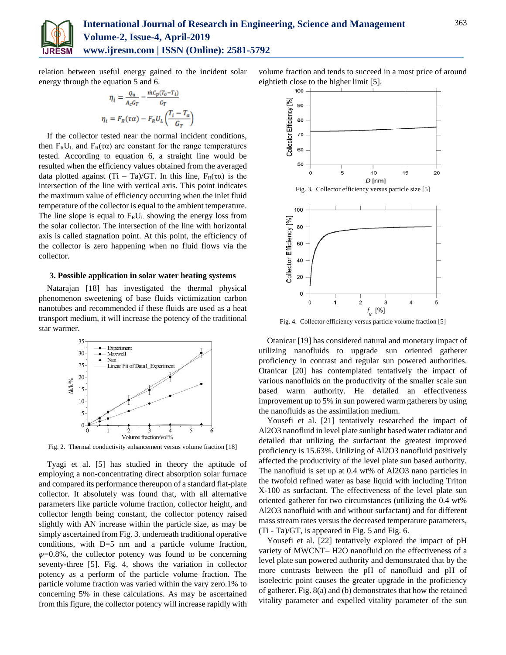

relation between useful energy gained to the incident solar energy through the equation 5 and 6.

$$
\eta_i = \frac{Q_u}{A_c G_T} = \frac{i \hbar C_p (T_o - T_i)}{G_T}
$$

$$
\eta_i = F_R(\tau \alpha) - F_R U_L \left(\frac{T_i - T_a}{G_T}\right)
$$

If the collector tested near the normal incident conditions, then  $F_R U_L$  and  $F_R(\tau \alpha)$  are constant for the range temperatures tested. According to equation 6, a straight line would be resulted when the efficiency values obtained from the averaged data plotted against  $(Ti - Ta)/GT$ . In this line,  $F_R(\tau\alpha)$  is the intersection of the line with vertical axis. This point indicates the maximum value of efficiency occurring when the inlet fluid temperature of the collector is equal to the ambient temperature. The line slope is equal to  $F_R U_L$  showing the energy loss from the solar collector. The intersection of the line with horizontal axis is called stagnation point. At this point, the efficiency of the collector is zero happening when no fluid flows via the collector.

## **3. Possible application in solar water heating systems**

Natarajan [18] has investigated the thermal physical phenomenon sweetening of base fluids victimization carbon nanotubes and recommended if these fluids are used as a heat transport medium, it will increase the potency of the traditional star warmer.



Fig. 2. Thermal conductivity enhancement versus volume fraction [18]

Tyagi et al. [5] has studied in theory the aptitude of employing a non-concentrating direct absorption solar furnace and compared its performance thereupon of a standard flat-plate collector. It absolutely was found that, with all alternative parameters like particle volume fraction, collector height, and collector length being constant, the collector potency raised slightly with AN increase within the particle size, as may be simply ascertained from Fig. 3. underneath traditional operative conditions, with D=5 nm and a particle volume fraction,  $\varphi$ =0.8%, the collector potency was found to be concerning seventy-three [5]. Fig. 4, shows the variation in collector potency as a perform of the particle volume fraction. The particle volume fraction was varied within the vary zero.1% to concerning 5% in these calculations. As may be ascertained from this figure, the collector potency will increase rapidly with volume fraction and tends to succeed in a most price of around eightieth close to the higher limit [5].



Fig. 4. Collector efficiency versus particle volume fraction [5]

Otanicar [19] has considered natural and monetary impact of utilizing nanofluids to upgrade sun oriented gatherer proficiency in contrast and regular sun powered authorities. Otanicar [20] has contemplated tentatively the impact of various nanofluids on the productivity of the smaller scale sun based warm authority. He detailed an effectiveness improvement up to 5% in sun powered warm gatherers by using the nanofluids as the assimilation medium.

Yousefi et al. [21] tentatively researched the impact of Al2O3 nanofluid in level plate sunlight based water radiator and detailed that utilizing the surfactant the greatest improved proficiency is 15.63%. Utilizing of Al2O3 nanofluid positively affected the productivity of the level plate sun based authority. The nanofluid is set up at 0.4 wt% of Al2O3 nano particles in the twofold refined water as base liquid with including Triton X-100 as surfactant. The effectiveness of the level plate sun oriented gatherer for two circumstances (utilizing the 0.4 wt% Al2O3 nanofluid with and without surfactant) and for different mass stream rates versus the decreased temperature parameters, (Ti - Ta)/GT, is appeared in Fig. 5 and Fig. 6.

Yousefi et al. [22] tentatively explored the impact of pH variety of MWCNT– H2O nanofluid on the effectiveness of a level plate sun powered authority and demonstrated that by the more contrasts between the pH of nanofluid and pH of isoelectric point causes the greater upgrade in the proficiency of gatherer. Fig. 8(a) and (b) demonstrates that how the retained vitality parameter and expelled vitality parameter of the sun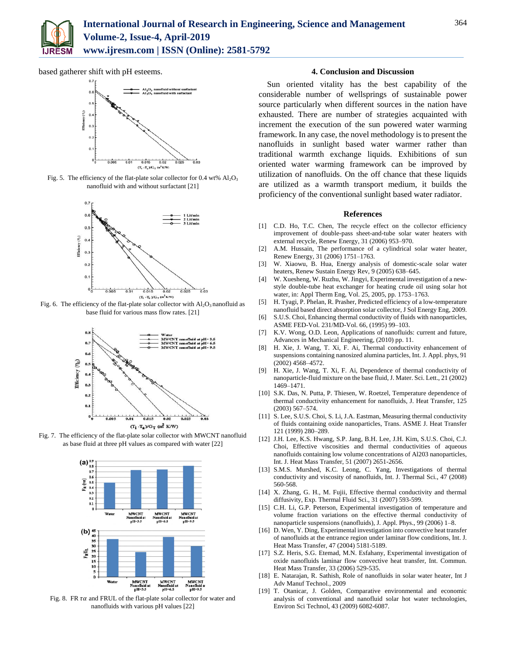

based gatherer shift with pH esteems.



Fig. 5. The efficiency of the flat-plate solar collector for 0.4 wt%  $Al_2O_3$ nanofluid with and without surfactant [21]



Fig. 6. The efficiency of the flat-plate solar collector with  $Al_2O_3$  nanofluid as base fluid for various mass flow rates. [21]



Fig. 7. The efficiency of the flat-plate solar collector with MWCNT nanofluid as base fluid at three pH values as compared with water [22]



Fig. 8. FR  $\tau\alpha$  and FRUL of the flat-plate solar collector for water and nanofluids with various pH values [22]

# **4. Conclusion and Discussion**

Sun oriented vitality has the best capability of the considerable number of wellsprings of sustainable power source particularly when different sources in the nation have exhausted. There are number of strategies acquainted with increment the execution of the sun powered water warming framework. In any case, the novel methodology is to present the nanofluids in sunlight based water warmer rather than traditional warmth exchange liquids. Exhibitions of sun oriented water warming framework can be improved by utilization of nanofluids. On the off chance that these liquids are utilized as a warmth transport medium, it builds the proficiency of the conventional sunlight based water radiator.

## **References**

- [1] C.D. Ho, T.C. Chen, The recycle effect on the collector efficiency improvement of double-pass sheet-and-tube solar water heaters with external recycle, Renew Energy, 31 (2006) 953–970.
- [2] A.M. Hussain, The performance of a cylindrical solar water heater, Renew Energy, 31 (2006) 1751–1763.
- [3] W. Xiaowu, B. Hua, Energy analysis of domestic-scale solar water heaters, Renew Sustain Energy Rev, 9 (2005) 638–645.
- [4] W. Xuesheng, W. Ruzhu, W. Jingyi, Experimental investigation of a newstyle double-tube heat exchanger for heating crude oil using solar hot water, in: Appl Therm Eng, Vol. 25, 2005, pp. 1753–1763.
- [5] H. Tyagi, P. Phelan, R. Prasher, Predicted efficiency of a low-temperature nanofluid based direct absorption solar collector, J Sol Energy Eng, 2009.
- [6] S.U.S. Choi, Enhancing thermal conductivity of fluids with nanoparticles, ASME FED-Vol. 231/MD-Vol. 66, (1995) 99–103.
- [7] K.V. Wong, O.D. Leon, Applications of nanofluids: current and future, Advances in Mechanical Engineering, (2010) pp. 11.
- [8] H. Xie, J. Wang, T. Xi, F. Ai, Thermal conductivity enhancement of suspensions containing nanosized alumina particles, Int. J. Appl. phys, 91 (2002) 4568–4572.
- [9] H. Xie, J. Wang, T. Xi, F. Ai, Dependence of thermal conductivity of nanoparticle-fluid mixture on the base fluid, J. Mater. Sci. Lett., 21 (2002) 1469–1471.
- [10] S.K. Das, N. Putta, P. Thiesen, W. Roetzel, Temperature dependence of thermal conductivity enhancement for nanofluids, J. Heat Transfer, 125 (2003) 567–574.
- [11] S. Lee, S.U.S. Choi, S. Li, J.A. Eastman, Measuring thermal conductivity of fluids containing oxide nanoparticles, Trans. ASME J. Heat Transfer 121 (1999) 280–289.
- [12] J.H. Lee, K.S. Hwang, S.P. Jang, B.H. Lee, J.H. Kim, S.U.S. Choi, C.J. Choi, Effective viscosities and thermal conductivities of aqueous nanofluids containing low volume concentrations of Al203 nanoparticles, Int. J. Heat Mass Transfer, 51 (2007) 2651-2656.
- [13] S.M.S. Murshed, K.C. Leong, C. Yang, Investigations of thermal conductivity and viscosity of nanofluids, Int. J. Thermal Sci., 47 (2008) 560-568.
- [14] X. Zhang, G. H., M. Fujii, Effective thermal conductivity and thermal diffusivity, Exp. Thermal Fluid Sci., 31 (2007) 593-599.
- [15] C.H. Li, G.P. Peterson, Experimental investigation of temperature and volume fraction variations on the effective thermal conductivity of nanoparticle suspensions (nanofluids), J. Appl. Phys., 99 (2006) 1–8.
- [16] D. Wen, Y. Ding, Experimental investigation into convective heat transfer of nanofluids at the entrance region under laminar flow conditions, Int. J. Heat Mass Transfer, 47 (2004) 5181-5189.
- [17] S.Z. Heris, S.G. Etemad, M.N. Esfahany, Experimental investigation of oxide nanofluids laminar flow convective heat transfer, Int. Commun. Heat Mass Transfer, 33 (2006) 529-535.
- [18] E. Natarajan, R. Sathish, Role of nanofluids in solar water heater, Int J Adv Manuf Technol., 2009
- [19] T. Otanicar, J. Golden, Comparative environmental and economic analysis of conventional and nanofluid solar hot water technologies, Environ Sci Technol, 43 (2009) 6082-6087.